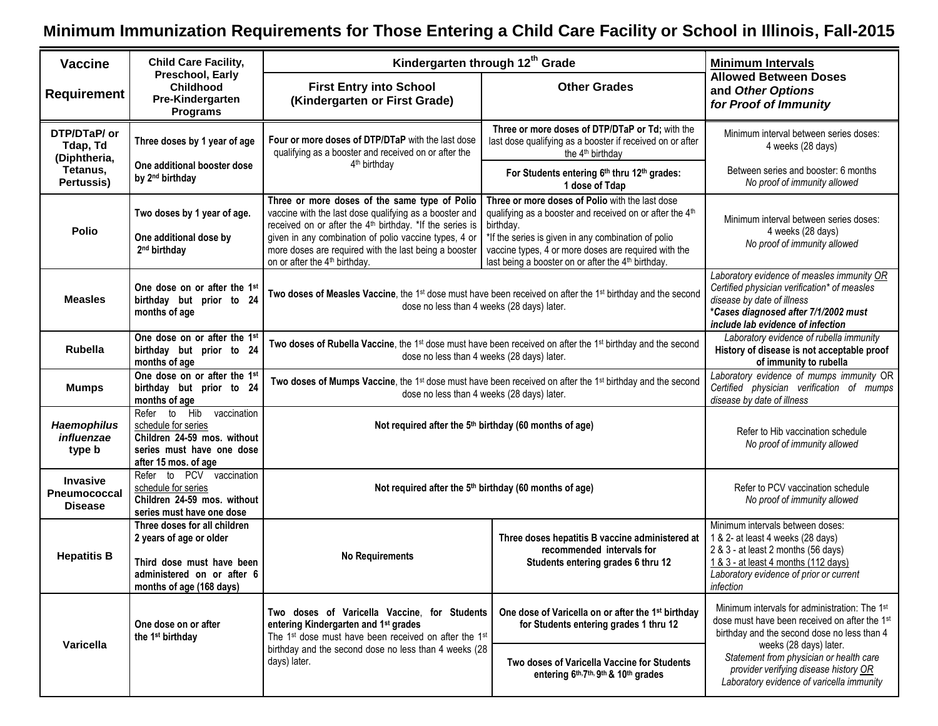## **Minimum Immunization Requirements for Those Entering a Child Care Facility or School in Illinois, Fall-2015**

| <b>Vaccine</b>                                           | <b>Child Care Facility,</b>                                                                                                                    | Kindergarten through 12th Grade                                                                                                                                                                                                                                                                                                                | <b>Minimum Intervals</b>                                                                                                                                                                                                                                                                                              |                                                                                                                                                                                                              |  |
|----------------------------------------------------------|------------------------------------------------------------------------------------------------------------------------------------------------|------------------------------------------------------------------------------------------------------------------------------------------------------------------------------------------------------------------------------------------------------------------------------------------------------------------------------------------------|-----------------------------------------------------------------------------------------------------------------------------------------------------------------------------------------------------------------------------------------------------------------------------------------------------------------------|--------------------------------------------------------------------------------------------------------------------------------------------------------------------------------------------------------------|--|
| <b>Requirement</b>                                       | Preschool, Early<br>Childhood<br>Pre-Kindergarten<br><b>Programs</b>                                                                           | <b>First Entry into School</b><br>(Kindergarten or First Grade)                                                                                                                                                                                                                                                                                | <b>Other Grades</b>                                                                                                                                                                                                                                                                                                   | <b>Allowed Between Doses</b><br>and Other Options<br>for Proof of Immunity                                                                                                                                   |  |
| DTP/DTaP/ or<br>Tdap, Td<br>(Diphtheria,                 | Three doses by 1 year of age                                                                                                                   | Four or more doses of DTP/DTaP with the last dose<br>qualifying as a booster and received on or after the                                                                                                                                                                                                                                      | Three or more doses of DTP/DTaP or Td; with the<br>last dose qualifying as a booster if received on or after<br>the 4 <sup>th</sup> birthday                                                                                                                                                                          | Minimum interval between series doses:<br>4 weeks (28 days)                                                                                                                                                  |  |
| Tetanus,<br>Pertussis)                                   | One additional booster dose<br>by 2 <sup>nd</sup> birthday                                                                                     | 4 <sup>th</sup> birthday                                                                                                                                                                                                                                                                                                                       | For Students entering 6th thru 12th grades:<br>1 dose of Tdap                                                                                                                                                                                                                                                         | Between series and booster: 6 months<br>No proof of immunity allowed                                                                                                                                         |  |
| <b>Polio</b>                                             | Two doses by 1 year of age.<br>One additional dose by<br>2 <sup>nd</sup> birthday                                                              | Three or more doses of the same type of Polio<br>vaccine with the last dose qualifying as a booster and<br>received on or after the 4 <sup>th</sup> birthday. *If the series is<br>given in any combination of polio vaccine types, 4 or<br>more doses are required with the last being a booster<br>on or after the 4 <sup>th</sup> birthday. | Three or more doses of Polio with the last dose<br>qualifying as a booster and received on or after the 4 <sup>th</sup><br>birthday.<br>*If the series is given in any combination of polio<br>vaccine types, 4 or more doses are required with the<br>last being a booster on or after the 4 <sup>th</sup> birthday. | Minimum interval between series doses:<br>4 weeks (28 days)<br>No proof of immunity allowed                                                                                                                  |  |
| <b>Measles</b>                                           | One dose on or after the 1 <sup>st</sup><br>birthday but prior to 24<br>months of age                                                          | Two doses of Measles Vaccine, the 1 <sup>st</sup> dose must have been received on after the 1 <sup>st</sup> birthday and the second<br>dose no less than 4 weeks (28 days) later.                                                                                                                                                              |                                                                                                                                                                                                                                                                                                                       | Laboratory evidence of measles immunity OR<br>Certified physician verification* of measles<br>disease by date of illness<br>*Cases diagnosed after 7/1/2002 must<br>include lab evidence of infection        |  |
| <b>Rubella</b>                                           | One dose on or after the 1st<br>birthday but prior to 24<br>months of age                                                                      | Two doses of Rubella Vaccine, the 1 <sup>st</sup> dose must have been received on after the 1 <sup>st</sup> birthday and the second<br>dose no less than 4 weeks (28 days) later.                                                                                                                                                              | Laboratory evidence of rubella immunity<br>History of disease is not acceptable proof<br>of immunity to rubella                                                                                                                                                                                                       |                                                                                                                                                                                                              |  |
| <b>Mumps</b>                                             | One dose on or after the 1st<br>birthday but prior to 24<br>months of age                                                                      | Two doses of Mumps Vaccine, the 1 <sup>st</sup> dose must have been received on after the 1 <sup>st</sup> birthday and the second<br>dose no less than 4 weeks (28 days) later.                                                                                                                                                                |                                                                                                                                                                                                                                                                                                                       | Laboratory evidence of mumps immunity OR<br>Certified physician verification of mumps<br>disease by date of illness                                                                                          |  |
| <b>Haemophilus</b><br>influenzae<br>type b               | to Hib<br>Refer<br>vaccination<br>schedule for series<br>Children 24-59 mos. without<br>series must have one dose<br>after 15 mos. of age      | Not required after the 5 <sup>th</sup> birthday (60 months of age)                                                                                                                                                                                                                                                                             |                                                                                                                                                                                                                                                                                                                       | Refer to Hib vaccination schedule<br>No proof of immunity allowed                                                                                                                                            |  |
| <b>Invasive</b><br><b>Pneumococcal</b><br><b>Disease</b> | Refer to PCV vaccination<br>schedule for series<br>Children 24-59 mos. without<br>series must have one dose                                    | Not required after the 5th birthday (60 months of age)                                                                                                                                                                                                                                                                                         |                                                                                                                                                                                                                                                                                                                       | Refer to PCV vaccination schedule<br>No proof of immunity allowed                                                                                                                                            |  |
| <b>Hepatitis B</b>                                       | Three doses for all children<br>2 years of age or older<br>Third dose must have been<br>administered on or after 6<br>months of age (168 days) | <b>No Requirements</b>                                                                                                                                                                                                                                                                                                                         | Three doses hepatitis B vaccine administered at<br>recommended intervals for<br>Students entering grades 6 thru 12                                                                                                                                                                                                    | Minimum intervals between doses:<br>1 & 2- at least 4 weeks (28 days)<br>2 & 3 - at least 2 months (56 days)<br>1 & 3 - at least 4 months (112 days)<br>Laboratory evidence of prior or current<br>infection |  |
| Varicella                                                | One dose on or after<br>the 1 <sup>st</sup> birthday                                                                                           | Two doses of Varicella Vaccine, for Students<br>entering Kindergarten and 1 <sup>st</sup> grades<br>The 1 <sup>st</sup> dose must have been received on after the 1 <sup>st</sup><br>birthday and the second dose no less than 4 weeks (28<br>days) later.                                                                                     | One dose of Varicella on or after the 1st birthday<br>for Students entering grades 1 thru 12                                                                                                                                                                                                                          | Minimum intervals for administration: The 1 <sup>st</sup><br>dose must have been received on after the 1 <sup>st</sup><br>birthday and the second dose no less than 4                                        |  |
|                                                          |                                                                                                                                                |                                                                                                                                                                                                                                                                                                                                                | Two doses of Varicella Vaccine for Students<br>entering 6th, 7th, 9th & 10th grades                                                                                                                                                                                                                                   | weeks (28 days) later.<br>Statement from physician or health care<br>provider verifying disease history OR<br>Laboratory evidence of varicella immunity                                                      |  |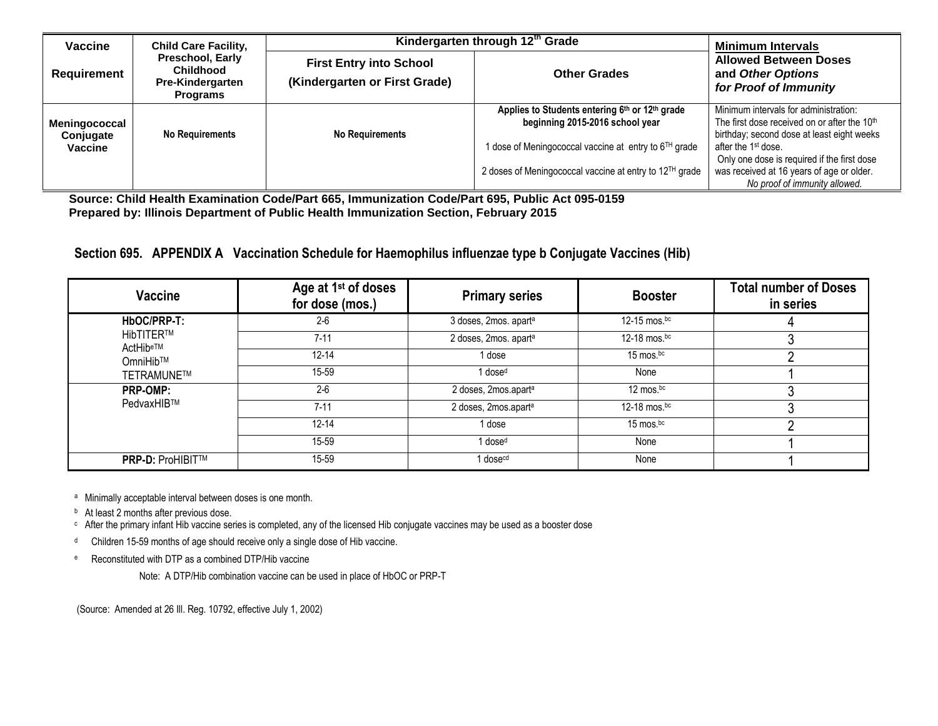| Vaccine       | <b>Child Care Facility,</b>                                                        | Kindergarten through 12 <sup>th</sup> Grade                     | <b>Minimum Intervals</b>                                          |                                                                            |  |
|---------------|------------------------------------------------------------------------------------|-----------------------------------------------------------------|-------------------------------------------------------------------|----------------------------------------------------------------------------|--|
| Requirement   | Preschool, Early<br><b>Childhood</b><br><b>Pre-Kindergarten</b><br><b>Programs</b> | <b>First Entry into School</b><br>(Kindergarten or First Grade) | <b>Other Grades</b>                                               | <b>Allowed Between Doses</b><br>and Other Options<br>for Proof of Immunity |  |
|               |                                                                                    |                                                                 | Applies to Students entering 6th or 12th grade                    | Minimum intervals for administration:                                      |  |
| Meningococcal |                                                                                    |                                                                 | beginning 2015-2016 school year                                   | The first dose received on or after the 10 <sup>th</sup>                   |  |
| Conjugate     | <b>No Requirements</b>                                                             | <b>No Requirements</b>                                          |                                                                   | birthday; second dose at least eight weeks                                 |  |
| Vaccine       |                                                                                    |                                                                 | 1 dose of Meningococcal vaccine at entry to 6 <sup>TH</sup> grade | after the 1 <sup>st</sup> dose.                                            |  |
|               |                                                                                    |                                                                 |                                                                   | Only one dose is required if the first dose                                |  |
|               |                                                                                    |                                                                 | 2 doses of Meningococcal vaccine at entry to 12TH grade           | was received at 16 years of age or older.                                  |  |
|               |                                                                                    |                                                                 |                                                                   | No proof of immunity allowed.                                              |  |

**Source: Child Health Examination Code/Part 665, Immunization Code/Part 695, Public Act 095-0159 Prepared by: Illinois Department of Public Health Immunization Section, February 2015** 

**Section 695. APPENDIX A Vaccination Schedule for Haemophilus influenzae type b Conjugate Vaccines (Hib)**

| Vaccine                      | Age at 1 <sup>st</sup> of doses<br>for dose (mos.) | <b>Primary series</b>            | <b>Booster</b>  | <b>Total number of Doses</b><br>in series |
|------------------------------|----------------------------------------------------|----------------------------------|-----------------|-------------------------------------------|
| HbOC/PRP-T:                  | $2 - 6$                                            | 3 doses, 2mos. aparta            | 12-15 mos.bc    |                                           |
| <b>HibTITER™</b><br>ActHibe™ | $7 - 11$                                           | 2 doses, 2mos. aparta            | 12-18 mos. $bc$ |                                           |
| OmniHib™                     | $12 - 14$                                          | 1 dose                           | 15 mos.bc       |                                           |
| TETRAMUNE™                   | 15-59                                              | l dose <sup>d</sup>              | None            |                                           |
| <b>PRP-OMP:</b>              | $2 - 6$                                            | 2 doses, 2mos.apart <sup>a</sup> | 12 mos. $bc$    |                                           |
| PedvaxHIB™                   | $7 - 11$                                           | 2 doses, 2mos.apart <sup>a</sup> | 12-18 mos. $bc$ |                                           |
|                              | $12 - 14$                                          | l dose                           | 15 mos.bc       |                                           |
|                              | 15-59                                              | dose <sup>d</sup>                | None            |                                           |
| <b>PRP-D: ProHIBIT™</b>      | 15-59                                              | l dose <sup>cd</sup>             | None            |                                           |

<sup>a</sup> Minimally acceptable interval between doses is one month.

**b** At least 2 months after previous dose.

<sup>c</sup> After the primary infant Hib vaccine series is completed, any of the licensed Hib conjugate vaccines may be used as a booster dose

<sup>d</sup> Children 15-59 months of age should receive only a single dose of Hib vaccine.

<sup>e</sup> Reconstituted with DTP as a combined DTP/Hib vaccine

Note: A DTP/Hib combination vaccine can be used in place of HbOC or PRP-T

(Source: Amended at 26 Ill. Reg. 10792, effective July 1, 2002)